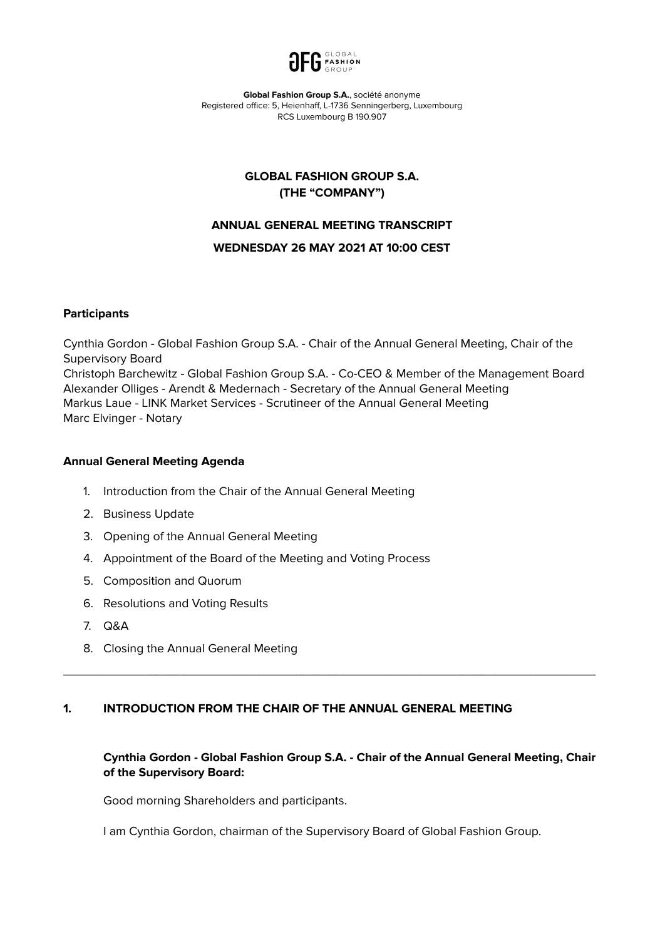

**Global Fashion Group S.A.**, société anonyme Registered office: 5, Heienhaff, L-1736 Senningerberg, Luxembourg RCS Luxembourg B 190.907

## **GLOBAL FASHION GROUP S.A. (THE "COMPANY")**

### **ANNUAL GENERAL MEETING TRANSCRIPT**

#### **WEDNESDAY 26 MAY 2021 AT 10:00 CEST**

#### **Participants**

Cynthia Gordon - Global Fashion Group S.A. - Chair of the Annual General Meeting, Chair of the Supervisory Board Christoph Barchewitz - Global Fashion Group S.A. - Co-CEO & Member of the Management Board Alexander Olliges - Arendt & Medernach - Secretary of the Annual General Meeting Markus Laue - LINK Market Services - Scrutineer of the Annual General Meeting Marc Elvinger - Notary

#### **Annual General Meeting Agenda**

- 1. Introduction from the Chair of the Annual General Meeting
- 2. Business Update
- 3. Opening of the Annual General Meeting
- 4. Appointment of the Board of the Meeting and Voting Process
- 5. Composition and Quorum
- 6. Resolutions and Voting Results
- 7. Q&A
- 8. Closing the Annual General Meeting

## **1. INTRODUCTION FROM THE CHAIR OF THE ANNUAL GENERAL MEETING**

## **Cynthia Gordon - Global Fashion Group S.A. - Chair of the Annual General Meeting, Chair of the Supervisory Board:**

\_\_\_\_\_\_\_\_\_\_\_\_\_\_\_\_\_\_\_\_\_\_\_\_\_\_\_\_\_\_\_\_\_\_\_\_\_\_\_\_\_\_\_\_\_\_\_\_\_\_\_\_\_\_\_\_\_\_\_\_\_\_\_\_\_\_\_\_\_\_\_\_\_\_\_\_\_

Good morning Shareholders and participants.

I am Cynthia Gordon, chairman of the Supervisory Board of Global Fashion Group.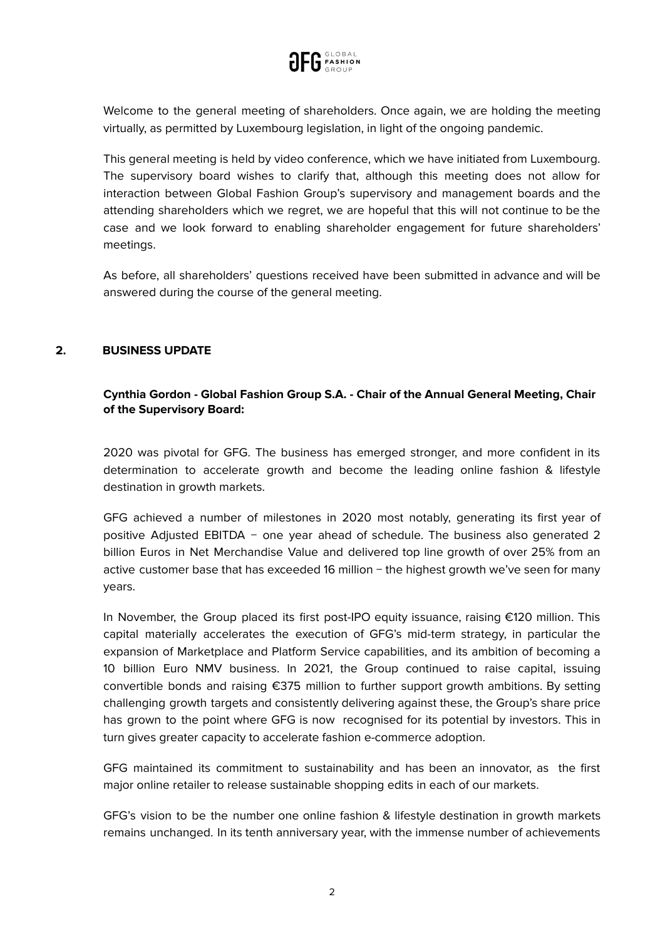

Welcome to the general meeting of shareholders. Once again, we are holding the meeting virtually, as permitted by Luxembourg legislation, in light of the ongoing pandemic.

This general meeting is held by video conference, which we have initiated from Luxembourg. The supervisory board wishes to clarify that, although this meeting does not allow for interaction between Global Fashion Group's supervisory and management boards and the attending shareholders which we regret, we are hopeful that this will not continue to be the case and we look forward to enabling shareholder engagement for future shareholders' meetings.

As before, all shareholders' questions received have been submitted in advance and will be answered during the course of the general meeting.

## **2. BUSINESS UPDATE**

## **Cynthia Gordon - Global Fashion Group S.A. - Chair of the Annual General Meeting, Chair of the Supervisory Board:**

2020 was pivotal for GFG. The business has emerged stronger, and more confident in its determination to accelerate growth and become the leading online fashion & lifestyle destination in growth markets.

GFG achieved a number of milestones in 2020 most notably, generating its first year of positive Adjusted EBITDA − one year ahead of schedule. The business also generated 2 billion Euros in Net Merchandise Value and delivered top line growth of over 25% from an active customer base that has exceeded 16 million − the highest growth we've seen for many years.

In November, the Group placed its first post-IPO equity issuance, raising €120 million. This capital materially accelerates the execution of GFG's mid-term strategy, in particular the expansion of Marketplace and Platform Service capabilities, and its ambition of becoming a 10 billion Euro NMV business. In 2021, the Group continued to raise capital, issuing convertible bonds and raising €375 million to further support growth ambitions. By setting challenging growth targets and consistently delivering against these, the Group's share price has grown to the point where GFG is now recognised for its potential by investors. This in turn gives greater capacity to accelerate fashion e-commerce adoption.

GFG maintained its commitment to sustainability and has been an innovator, as the first major online retailer to release sustainable shopping edits in each of our markets.

GFG's vision to be the number one online fashion & lifestyle destination in growth markets remains unchanged. In its tenth anniversary year, with the immense number of achievements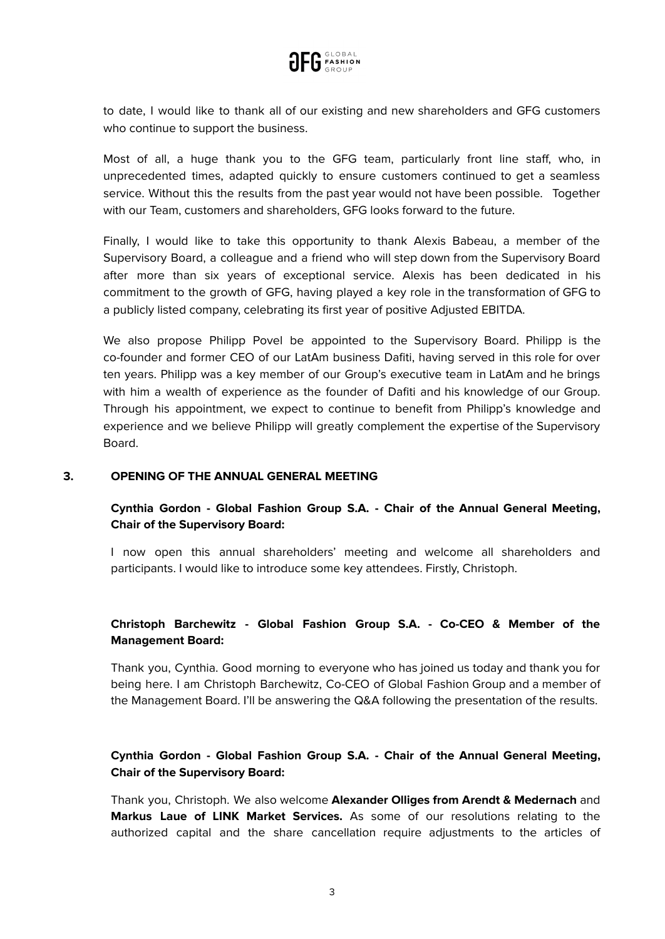

to date, I would like to thank all of our existing and new shareholders and GFG customers who continue to support the business.

Most of all, a huge thank you to the GFG team, particularly front line staff, who, in unprecedented times, adapted quickly to ensure customers continued to get a seamless service. Without this the results from the past year would not have been possible. Together with our Team, customers and shareholders, GFG looks forward to the future.

Finally, I would like to take this opportunity to thank Alexis Babeau, a member of the Supervisory Board, a colleague and a friend who will step down from the Supervisory Board after more than six years of exceptional service. Alexis has been dedicated in his commitment to the growth of GFG, having played a key role in the transformation of GFG to a publicly listed company, celebrating its first year of positive Adjusted EBITDA.

We also propose Philipp Povel be appointed to the Supervisory Board. Philipp is the co-founder and former CEO of our LatAm business Dafiti, having served in this role for over ten years. Philipp was a key member of our Group's executive team in LatAm and he brings with him a wealth of experience as the founder of Dafiti and his knowledge of our Group. Through his appointment, we expect to continue to benefit from Philipp's knowledge and experience and we believe Philipp will greatly complement the expertise of the Supervisory Board.

#### **3. OPENING OF THE ANNUAL GENERAL MEETING**

# **Cynthia Gordon - Global Fashion Group S.A. - Chair of the Annual General Meeting, Chair of the Supervisory Board:**

I now open this annual shareholders' meeting and welcome all shareholders and participants. I would like to introduce some key attendees. Firstly, Christoph.

# **Christoph Barchewitz - Global Fashion Group S.A. - Co-CEO & Member of the Management Board:**

Thank you, Cynthia. Good morning to everyone who has joined us today and thank you for being here. I am Christoph Barchewitz, Co-CEO of Global Fashion Group and a member of the Management Board. I'll be answering the Q&A following the presentation of the results.

# **Cynthia Gordon - Global Fashion Group S.A. - Chair of the Annual General Meeting, Chair of the Supervisory Board:**

Thank you, Christoph. We also welcome **Alexander Olliges from Arendt & Medernach** and **Markus Laue of LINK Market Services.** As some of our resolutions relating to the authorized capital and the share cancellation require adjustments to the articles of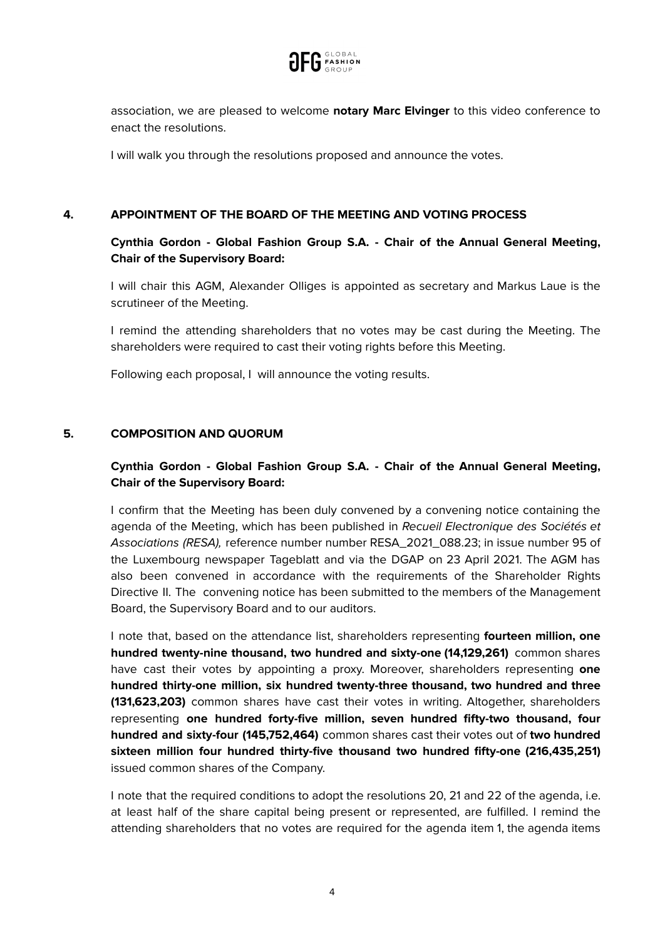

association, we are pleased to welcome **notary Marc Elvinger** to this video conference to enact the resolutions.

I will walk you through the resolutions proposed and announce the votes.

### **4. APPOINTMENT OF THE BOARD OF THE MEETING AND VOTING PROCESS**

# **Cynthia Gordon - Global Fashion Group S.A. - Chair of the Annual General Meeting, Chair of the Supervisory Board:**

I will chair this AGM, Alexander Olliges is appointed as secretary and Markus Laue is the scrutineer of the Meeting.

I remind the attending shareholders that no votes may be cast during the Meeting. The shareholders were required to cast their voting rights before this Meeting.

Following each proposal, I will announce the voting results.

## **5. COMPOSITION AND QUORUM**

# **Cynthia Gordon - Global Fashion Group S.A. - Chair of the Annual General Meeting, Chair of the Supervisory Board:**

I confirm that the Meeting has been duly convened by a convening notice containing the agenda of the Meeting, which has been published in Recueil Electronique des Sociétés et Associations (RESA), reference number number RESA\_2021\_088.23; in issue number 95 of the Luxembourg newspaper Tageblatt and via the DGAP on 23 April 2021. The AGM has also been convened in accordance with the requirements of the Shareholder Rights Directive II. The convening notice has been submitted to the members of the Management Board, the Supervisory Board and to our auditors.

I note that, based on the attendance list, shareholders representing **fourteen million, one hundred twenty-nine thousand, two hundred and sixty-one (14,129,261)** common shares have cast their votes by appointing a proxy. Moreover, shareholders representing **one hundred thirty-one million, six hundred twenty-three thousand, two hundred and three (131,623,203)** common shares have cast their votes in writing. Altogether, shareholders representing **one hundred forty-five million, seven hundred fifty-two thousand, four hundred and sixty-four (145,752,464)** common shares cast their votes out of **two hundred sixteen million four hundred thirty-five thousand two hundred fifty-one (216,435,251)** issued common shares of the Company.

I note that the required conditions to adopt the resolutions 20, 21 and 22 of the agenda, i.e. at least half of the share capital being present or represented, are fulfilled. I remind the attending shareholders that no votes are required for the agenda item 1, the agenda items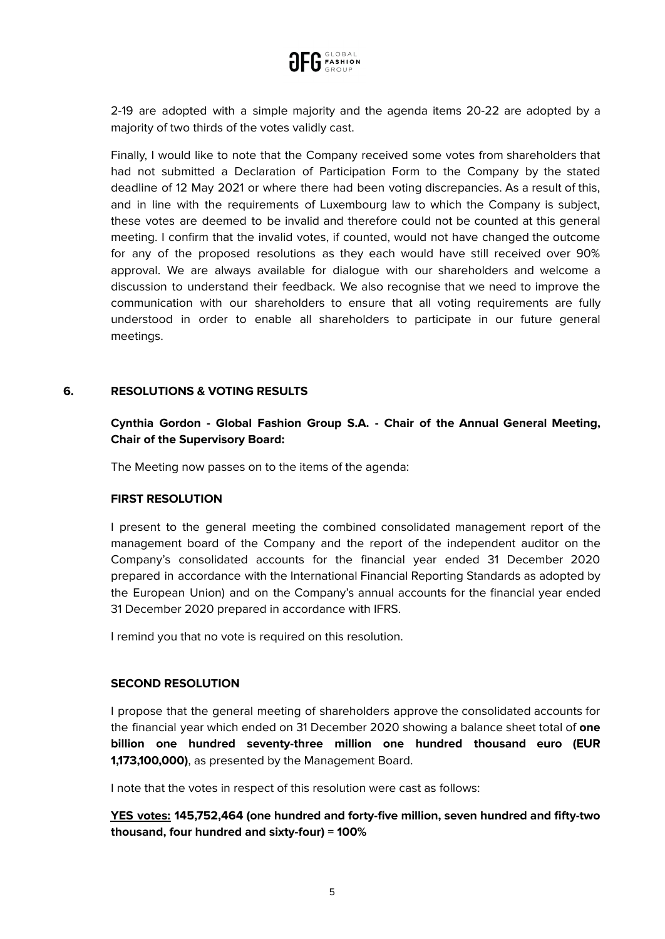

2-19 are adopted with a simple majority and the agenda items 20-22 are adopted by a majority of two thirds of the votes validly cast.

Finally, I would like to note that the Company received some votes from shareholders that had not submitted a Declaration of Participation Form to the Company by the stated deadline of 12 May 2021 or where there had been voting discrepancies. As a result of this, and in line with the requirements of Luxembourg law to which the Company is subject, these votes are deemed to be invalid and therefore could not be counted at this general meeting. I confirm that the invalid votes, if counted, would not have changed the outcome for any of the proposed resolutions as they each would have still received over 90% approval. We are always available for dialogue with our shareholders and welcome a discussion to understand their feedback. We also recognise that we need to improve the communication with our shareholders to ensure that all voting requirements are fully understood in order to enable all shareholders to participate in our future general meetings.

#### **6. RESOLUTIONS & VOTING RESULTS**

## **Cynthia Gordon - Global Fashion Group S.A. - Chair of the Annual General Meeting, Chair of the Supervisory Board:**

The Meeting now passes on to the items of the agenda:

#### **FIRST RESOLUTION**

I present to the general meeting the combined consolidated management report of the management board of the Company and the report of the independent auditor on the Company's consolidated accounts for the financial year ended 31 December 2020 prepared in accordance with the International Financial Reporting Standards as adopted by the European Union) and on the Company's annual accounts for the financial year ended 31 December 2020 prepared in accordance with IFRS.

I remind you that no vote is required on this resolution.

#### **SECOND RESOLUTION**

I propose that the general meeting of shareholders approve the consolidated accounts for the financial year which ended on 31 December 2020 showing a balance sheet total of **one billion one hundred seventy-three million one hundred thousand euro (EUR 1,173,100,000)**, as presented by the Management Board.

I note that the votes in respect of this resolution were cast as follows:

**YES votes: 145,752,464 (one hundred and forty-five million, seven hundred and fifty-two thousand, four hundred and sixty-four) = 100%**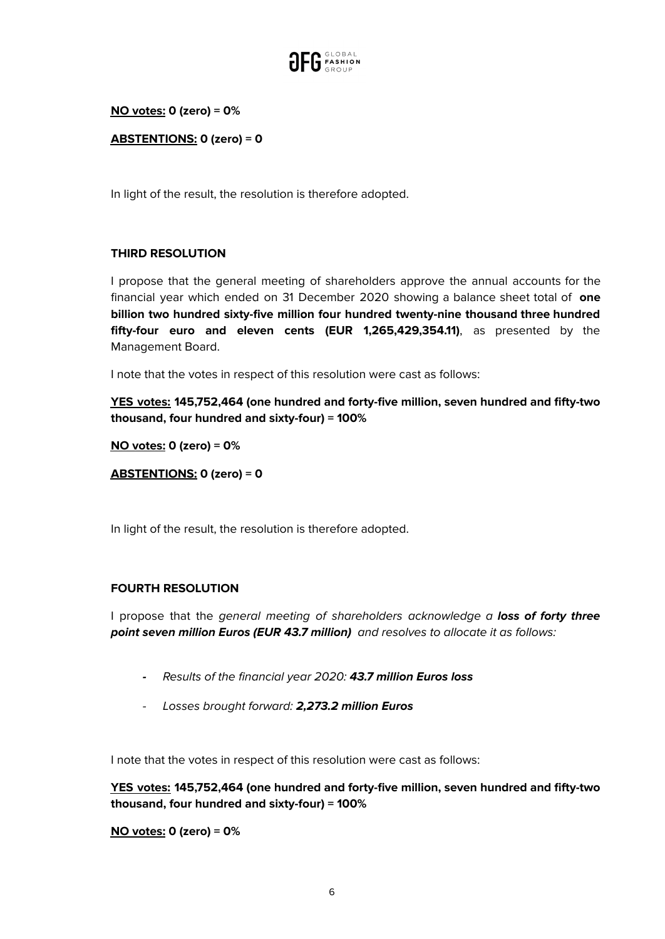

## **NO votes: 0 (zero) = 0%**

**ABSTENTIONS: 0 (zero) = 0**

In light of the result, the resolution is therefore adopted.

## **THIRD RESOLUTION**

I propose that the general meeting of shareholders approve the annual accounts for the financial year which ended on 31 December 2020 showing a balance sheet total of **one billion two hundred sixty-five million four hundred twenty-nine thousand three hundred fifty-four euro and eleven cents (EUR 1,265,429,354.11)**, as presented by the Management Board.

I note that the votes in respect of this resolution were cast as follows:

**YES votes: 145,752,464 (one hundred and forty-five million, seven hundred and fifty-two thousand, four hundred and sixty-four) = 100%**

**NO votes: 0 (zero) = 0%**

**ABSTENTIONS: 0 (zero) = 0**

In light of the result, the resolution is therefore adopted.

## **FOURTH RESOLUTION**

I propose that the general meeting of shareholders acknowledge a **loss of forty three point seven million Euros (EUR 43.7 million)** and resolves to allocate it as follows:

- **-** Results of the financial year 2020: **43.7 million Euros loss**
- Losses brought forward: **2,273.2 million Euros**

I note that the votes in respect of this resolution were cast as follows:

**YES votes: 145,752,464 (one hundred and forty-five million, seven hundred and fifty-two thousand, four hundred and sixty-four) = 100%**

**NO votes: 0 (zero) = 0%**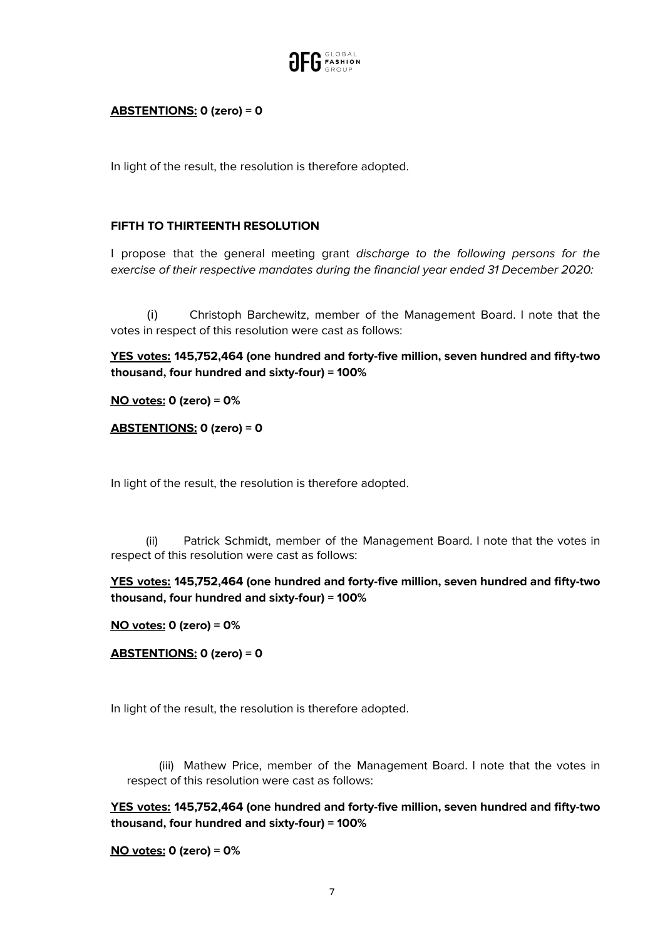

## **ABSTENTIONS: 0 (zero) = 0**

In light of the result, the resolution is therefore adopted.

### **FIFTH TO THIRTEENTH RESOLUTION**

I propose that the general meeting grant discharge to the following persons for the exercise of their respective mandates during the financial year ended 31 December 2020:

(i) Christoph Barchewitz, member of the Management Board. I note that the votes in respect of this resolution were cast as follows:

**YES votes: 145,752,464 (one hundred and forty-five million, seven hundred and fifty-two thousand, four hundred and sixty-four) = 100%**

**NO votes: 0 (zero) = 0%**

**ABSTENTIONS: 0 (zero) = 0**

In light of the result, the resolution is therefore adopted.

(ii) Patrick Schmidt, member of the Management Board. I note that the votes in respect of this resolution were cast as follows:

**YES votes: 145,752,464 (one hundred and forty-five million, seven hundred and fifty-two thousand, four hundred and sixty-four) = 100%**

**NO votes: 0 (zero) = 0%**

**ABSTENTIONS: 0 (zero) = 0**

In light of the result, the resolution is therefore adopted.

(iii) Mathew Price, member of the Management Board. I note that the votes in respect of this resolution were cast as follows:

**YES votes: 145,752,464 (one hundred and forty-five million, seven hundred and fifty-two thousand, four hundred and sixty-four) = 100%**

**NO votes: 0 (zero) = 0%**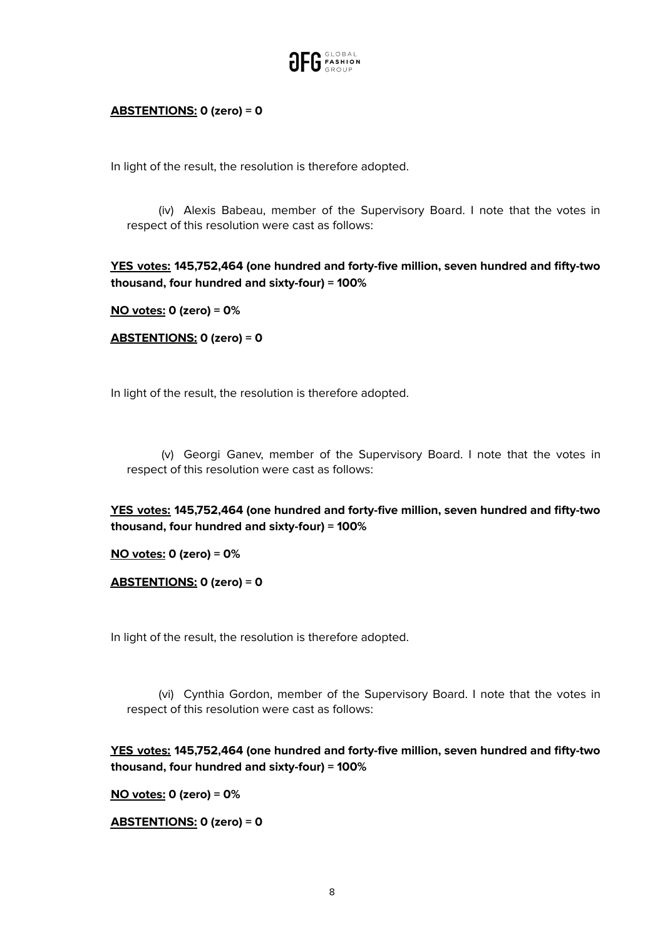

## **ABSTENTIONS: 0 (zero) = 0**

In light of the result, the resolution is therefore adopted.

(iv) Alexis Babeau, member of the Supervisory Board. I note that the votes in respect of this resolution were cast as follows:

**YES votes: 145,752,464 (one hundred and forty-five million, seven hundred and fifty-two thousand, four hundred and sixty-four) = 100%**

**NO votes: 0 (zero) = 0%**

**ABSTENTIONS: 0 (zero) = 0**

In light of the result, the resolution is therefore adopted.

(v) Georgi Ganev, member of the Supervisory Board. I note that the votes in respect of this resolution were cast as follows:

**YES votes: 145,752,464 (one hundred and forty-five million, seven hundred and fifty-two thousand, four hundred and sixty-four) = 100%**

**NO votes: 0 (zero) = 0%**

**ABSTENTIONS: 0 (zero) = 0**

In light of the result, the resolution is therefore adopted.

(vi) Cynthia Gordon, member of the Supervisory Board. I note that the votes in respect of this resolution were cast as follows:

**YES votes: 145,752,464 (one hundred and forty-five million, seven hundred and fifty-two thousand, four hundred and sixty-four) = 100%**

**NO votes: 0 (zero) = 0%**

**ABSTENTIONS: 0 (zero) = 0**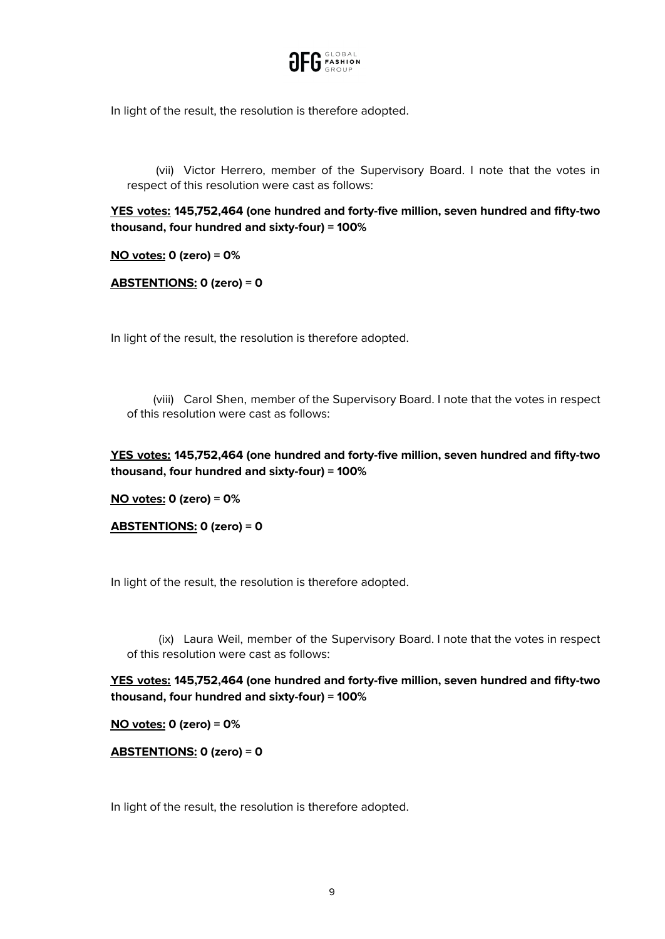

In light of the result, the resolution is therefore adopted.

(vii) Victor Herrero, member of the Supervisory Board. I note that the votes in respect of this resolution were cast as follows:

**YES votes: 145,752,464 (one hundred and forty-five million, seven hundred and fifty-two thousand, four hundred and sixty-four) = 100%**

**NO votes: 0 (zero) = 0%**

**ABSTENTIONS: 0 (zero) = 0**

In light of the result, the resolution is therefore adopted.

(viii) Carol Shen, member of the Supervisory Board. I note that the votes in respect of this resolution were cast as follows:

**YES votes: 145,752,464 (one hundred and forty-five million, seven hundred and fifty-two thousand, four hundred and sixty-four) = 100%**

**NO votes: 0 (zero) = 0%**

**ABSTENTIONS: 0 (zero) = 0**

In light of the result, the resolution is therefore adopted.

(ix) Laura Weil, member of the Supervisory Board. I note that the votes in respect of this resolution were cast as follows:

**YES votes: 145,752,464 (one hundred and forty-five million, seven hundred and fifty-two thousand, four hundred and sixty-four) = 100%**

**NO votes: 0 (zero) = 0%**

**ABSTENTIONS: 0 (zero) = 0**

In light of the result, the resolution is therefore adopted.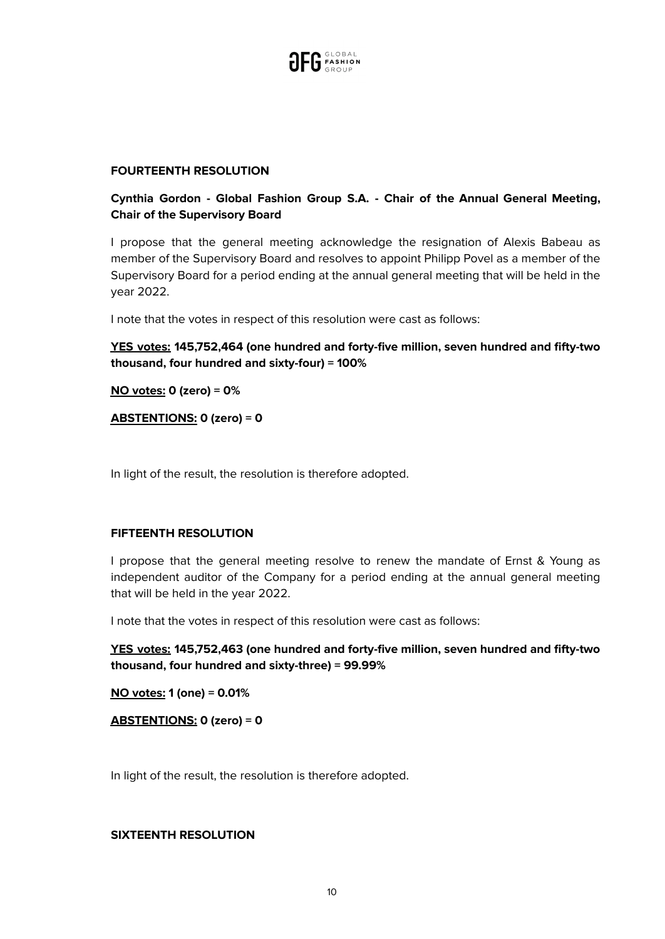

#### **FOURTEENTH RESOLUTION**

# **Cynthia Gordon - Global Fashion Group S.A. - Chair of the Annual General Meeting, Chair of the Supervisory Board**

I propose that the general meeting acknowledge the resignation of Alexis Babeau as member of the Supervisory Board and resolves to appoint Philipp Povel as a member of the Supervisory Board for a period ending at the annual general meeting that will be held in the year 2022.

I note that the votes in respect of this resolution were cast as follows:

**YES votes: 145,752,464 (one hundred and forty-five million, seven hundred and fifty-two thousand, four hundred and sixty-four) = 100%**

**NO votes: 0 (zero) = 0%**

**ABSTENTIONS: 0 (zero) = 0**

In light of the result, the resolution is therefore adopted.

#### **FIFTEENTH RESOLUTION**

I propose that the general meeting resolve to renew the mandate of Ernst & Young as independent auditor of the Company for a period ending at the annual general meeting that will be held in the year 2022.

I note that the votes in respect of this resolution were cast as follows:

**YES votes: 145,752,463 (one hundred and forty-five million, seven hundred and fifty-two thousand, four hundred and sixty-three) = 99.99%**

**NO votes: 1 (one) = 0.01%**

**ABSTENTIONS: 0 (zero) = 0**

In light of the result, the resolution is therefore adopted.

#### **SIXTEENTH RESOLUTION**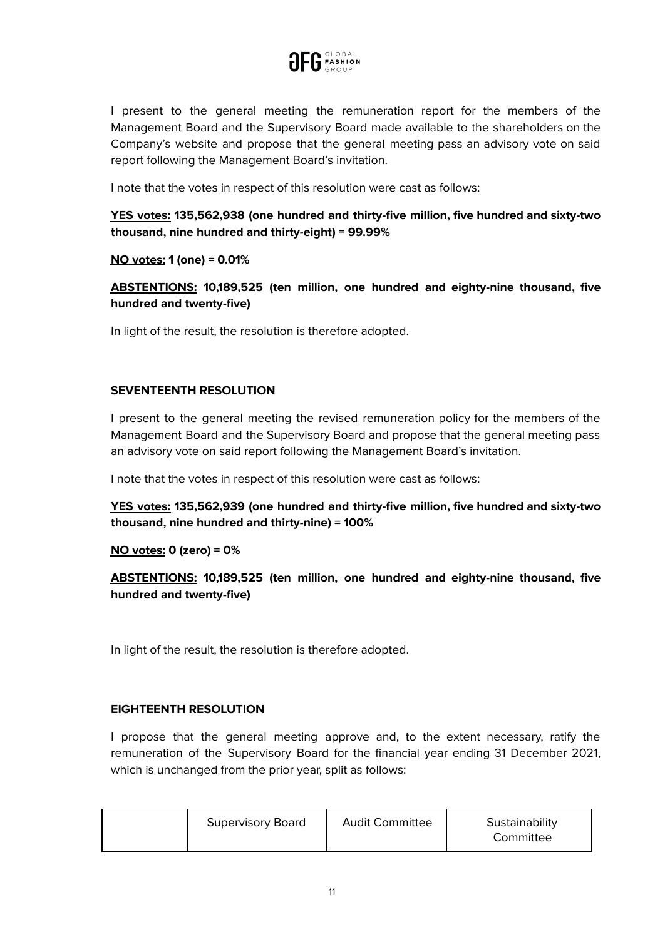

I present to the general meeting the remuneration report for the members of the Management Board and the Supervisory Board made available to the shareholders on the Company's website and propose that the general meeting pass an advisory vote on said report following the Management Board's invitation.

I note that the votes in respect of this resolution were cast as follows:

**YES votes: 135,562,938 (one hundred and thirty-five million, five hundred and sixty-two thousand, nine hundred and thirty-eight) = 99.99%**

**NO votes: 1 (one) = 0.01%**

**ABSTENTIONS: 10,189,525 (ten million, one hundred and eighty-nine thousand, five hundred and twenty-five)**

In light of the result, the resolution is therefore adopted.

#### **SEVENTEENTH RESOLUTION**

I present to the general meeting the revised remuneration policy for the members of the Management Board and the Supervisory Board and propose that the general meeting pass an advisory vote on said report following the Management Board's invitation.

I note that the votes in respect of this resolution were cast as follows:

**YES votes: 135,562,939 (one hundred and thirty-five million, five hundred and sixty-two thousand, nine hundred and thirty-nine) = 100%**

#### **NO votes: 0 (zero) = 0%**

**ABSTENTIONS: 10,189,525 (ten million, one hundred and eighty-nine thousand, five hundred and twenty-five)**

In light of the result, the resolution is therefore adopted.

#### **EIGHTEENTH RESOLUTION**

I propose that the general meeting approve and, to the extent necessary, ratify the remuneration of the Supervisory Board for the financial year ending 31 December 2021, which is unchanged from the prior year, split as follows:

|  | <b>Supervisory Board</b> | <b>Audit Committee</b> | Sustainability<br>Committee |
|--|--------------------------|------------------------|-----------------------------|
|--|--------------------------|------------------------|-----------------------------|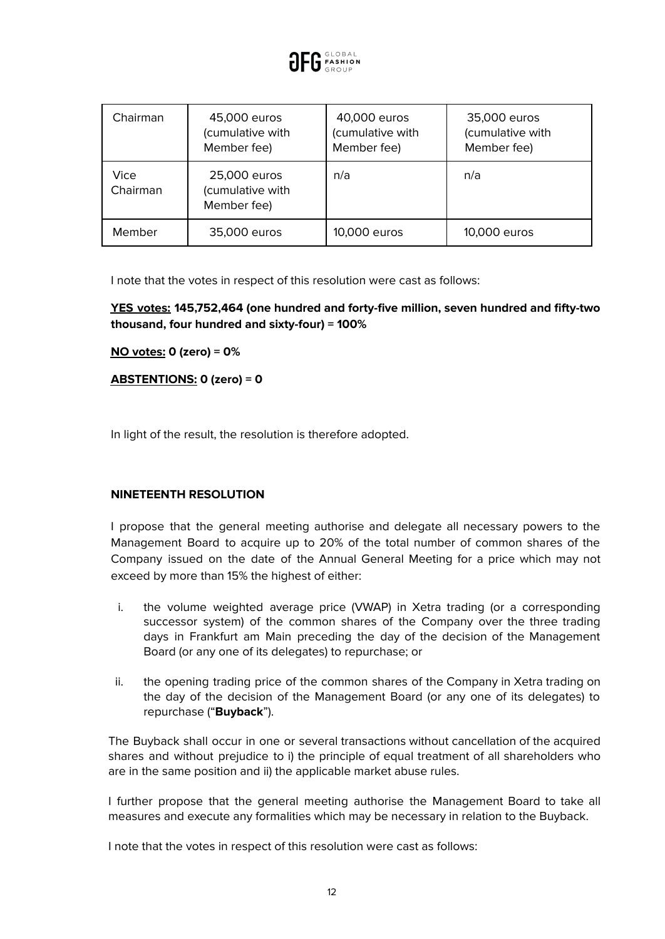

| Chairman         | 45,000 euros<br>(cumulative with<br>Member fee) | 40,000 euros<br>(cumulative with<br>Member fee) | 35,000 euros<br>(cumulative with<br>Member fee) |
|------------------|-------------------------------------------------|-------------------------------------------------|-------------------------------------------------|
| Vice<br>Chairman | 25,000 euros<br>(cumulative with<br>Member fee) | n/a                                             | n/a                                             |
| Member           | 35,000 euros                                    | 10,000 euros                                    | 10,000 euros                                    |

I note that the votes in respect of this resolution were cast as follows:

**YES votes: 145,752,464 (one hundred and forty-five million, seven hundred and fifty-two thousand, four hundred and sixty-four) = 100%**

**NO votes: 0 (zero) = 0%**

**ABSTENTIONS: 0 (zero) = 0**

In light of the result, the resolution is therefore adopted.

## **NINETEENTH RESOLUTION**

I propose that the general meeting authorise and delegate all necessary powers to the Management Board to acquire up to 20% of the total number of common shares of the Company issued on the date of the Annual General Meeting for a price which may not exceed by more than 15% the highest of either:

- i. the volume weighted average price (VWAP) in Xetra trading (or a corresponding successor system) of the common shares of the Company over the three trading days in Frankfurt am Main preceding the day of the decision of the Management Board (or any one of its delegates) to repurchase; or
- ii. the opening trading price of the common shares of the Company in Xetra trading on the day of the decision of the Management Board (or any one of its delegates) to repurchase ("**Buyback**").

The Buyback shall occur in one or several transactions without cancellation of the acquired shares and without prejudice to i) the principle of equal treatment of all shareholders who are in the same position and ii) the applicable market abuse rules.

I further propose that the general meeting authorise the Management Board to take all measures and execute any formalities which may be necessary in relation to the Buyback.

I note that the votes in respect of this resolution were cast as follows: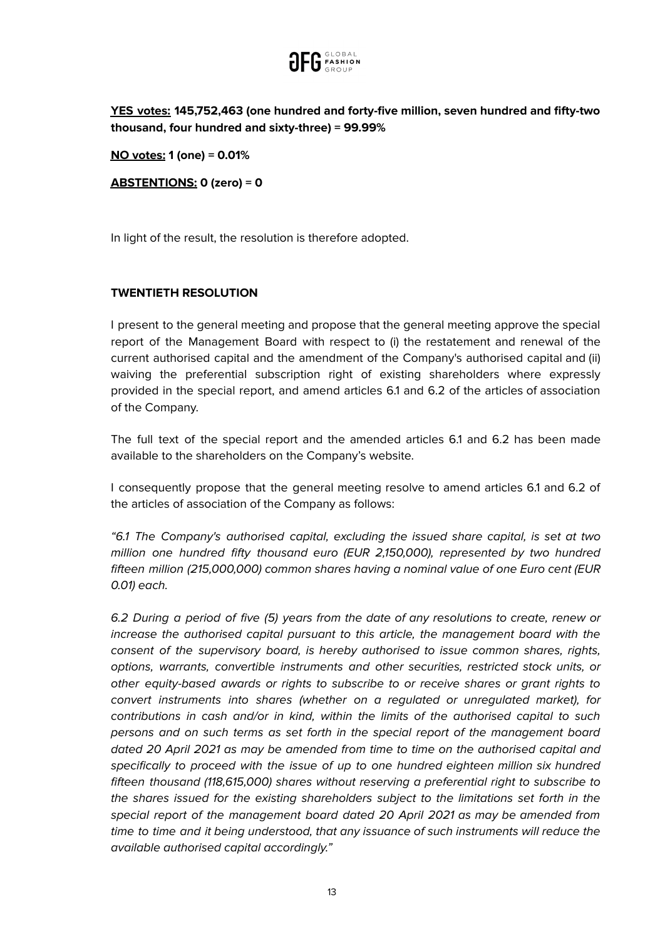

**YES votes: 145,752,463 (one hundred and forty-five million, seven hundred and fifty-two thousand, four hundred and sixty-three) = 99.99%**

**NO votes: 1 (one) = 0.01%**

**ABSTENTIONS: 0 (zero) = 0**

In light of the result, the resolution is therefore adopted.

## **TWENTIETH RESOLUTION**

I present to the general meeting and propose that the general meeting approve the special report of the Management Board with respect to (i) the restatement and renewal of the current authorised capital and the amendment of the Company's authorised capital and (ii) waiving the preferential subscription right of existing shareholders where expressly provided in the special report, and amend articles 6.1 and 6.2 of the articles of association of the Company.

The full text of the special report and the amended articles 6.1 and 6.2 has been made available to the shareholders on the Company's website.

I consequently propose that the general meeting resolve to amend articles 6.1 and 6.2 of the articles of association of the Company as follows:

"6.1 The Company's authorised capital, excluding the issued share capital, is set at two million one hundred fifty thousand euro (EUR 2,150,000), represented by two hundred fifteen million (215,000,000) common shares having a nominal value of one Euro cent (EUR 0.01) each.

6.2 During a period of five (5) years from the date of any resolutions to create, renew or increase the authorised capital pursuant to this article, the management board with the consent of the supervisory board, is hereby authorised to issue common shares, rights, options, warrants, convertible instruments and other securities, restricted stock units, or other equity-based awards or rights to subscribe to or receive shares or grant rights to convert instruments into shares (whether on a regulated or unregulated market), for contributions in cash and/or in kind, within the limits of the authorised capital to such persons and on such terms as set forth in the special report of the management board dated 20 April 2021 as may be amended from time to time on the authorised capital and specifically to proceed with the issue of up to one hundred eighteen million six hundred fifteen thousand (118,615,000) shares without reserving a preferential right to subscribe to the shares issued for the existing shareholders subject to the limitations set forth in the special report of the management board dated 20 April 2021 as may be amended from time to time and it being understood, that any issuance of such instruments will reduce the available authorised capital accordingly."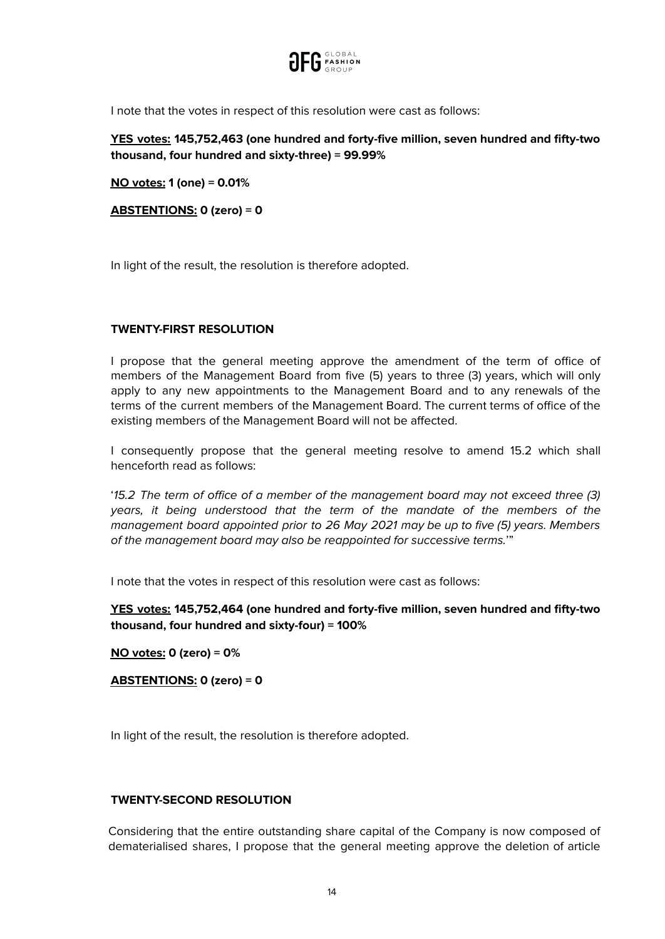

I note that the votes in respect of this resolution were cast as follows:

**YES votes: 145,752,463 (one hundred and forty-five million, seven hundred and fifty-two thousand, four hundred and sixty-three) = 99.99%**

**NO votes: 1 (one) = 0.01%**

**ABSTENTIONS: 0 (zero) = 0**

In light of the result, the resolution is therefore adopted.

## **TWENTY-FIRST RESOLUTION**

I propose that the general meeting approve the amendment of the term of office of members of the Management Board from five (5) years to three (3) years, which will only apply to any new appointments to the Management Board and to any renewals of the terms of the current members of the Management Board. The current terms of office of the existing members of the Management Board will not be affected.

I consequently propose that the general meeting resolve to amend 15.2 which shall henceforth read as follows:

'15.2 The term of office of a member of the management board may not exceed three (3) years, it being understood that the term of the mandate of the members of the management board appointed prior to 26 May 2021 may be up to five (5) years. Members of the management board may also be reappointed for successive terms.'"

I note that the votes in respect of this resolution were cast as follows:

**YES votes: 145,752,464 (one hundred and forty-five million, seven hundred and fifty-two thousand, four hundred and sixty-four) = 100%**

**NO votes: 0 (zero) = 0%**

**ABSTENTIONS: 0 (zero) = 0**

In light of the result, the resolution is therefore adopted.

## **TWENTY-SECOND RESOLUTION**

Considering that the entire outstanding share capital of the Company is now composed of dematerialised shares, I propose that the general meeting approve the deletion of article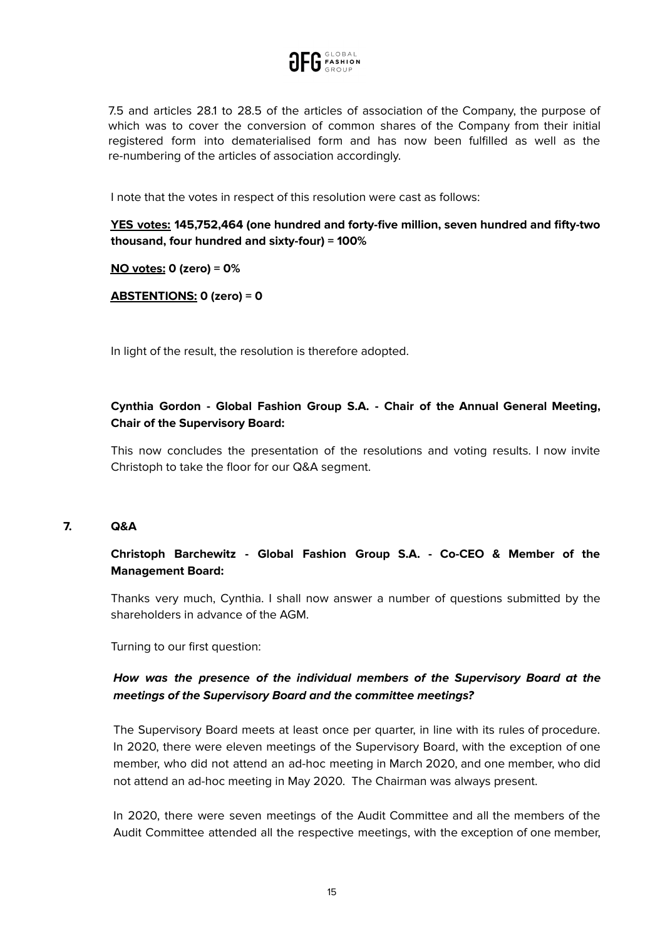

7.5 and articles 28.1 to 28.5 of the articles of association of the Company, the purpose of which was to cover the conversion of common shares of the Company from their initial registered form into dematerialised form and has now been fulfilled as well as the re-numbering of the articles of association accordingly.

I note that the votes in respect of this resolution were cast as follows:

**YES votes: 145,752,464 (one hundred and forty-five million, seven hundred and fifty-two thousand, four hundred and sixty-four) = 100%**

**NO votes: 0 (zero) = 0%**

**ABSTENTIONS: 0 (zero) = 0**

In light of the result, the resolution is therefore adopted.

# **Cynthia Gordon - Global Fashion Group S.A. - Chair of the Annual General Meeting, Chair of the Supervisory Board:**

This now concludes the presentation of the resolutions and voting results. I now invite Christoph to take the floor for our Q&A segment.

#### **7. Q&A**

## **Christoph Barchewitz - Global Fashion Group S.A. - Co-CEO & Member of the Management Board:**

Thanks very much, Cynthia. I shall now answer a number of questions submitted by the shareholders in advance of the AGM.

Turning to our first question:

# **How was the presence of the individual members of the Supervisory Board at the meetings of the Supervisory Board and the committee meetings?**

The Supervisory Board meets at least once per quarter, in line with its rules of procedure. In 2020, there were eleven meetings of the Supervisory Board, with the exception of one member, who did not attend an ad-hoc meeting in March 2020, and one member, who did not attend an ad-hoc meeting in May 2020. The Chairman was always present.

In 2020, there were seven meetings of the Audit Committee and all the members of the Audit Committee attended all the respective meetings, with the exception of one member,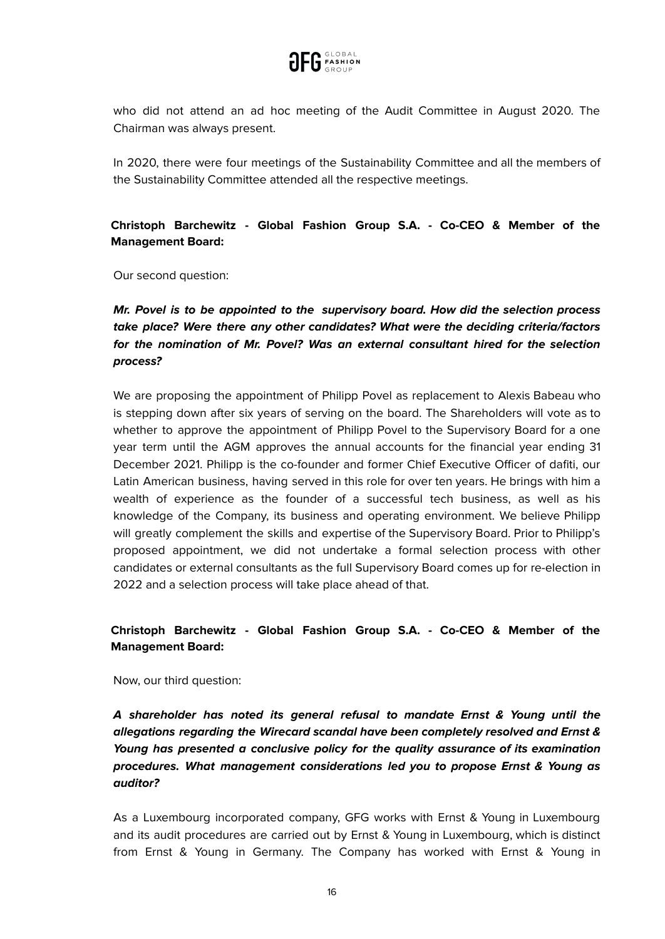

who did not attend an ad hoc meeting of the Audit Committee in August 2020. The Chairman was always present.

In 2020, there were four meetings of the Sustainability Committee and all the members of the Sustainability Committee attended all the respective meetings.

# **Christoph Barchewitz - Global Fashion Group S.A. - Co-CEO & Member of the Management Board:**

Our second question:

# **Mr. Povel is to be appointed to the supervisory board. How did the selection process take place? Were there any other candidates? What were the deciding criteria/factors for the nomination of Mr. Povel? Was an external consultant hired for the selection process?**

We are proposing the appointment of Philipp Povel as replacement to Alexis Babeau who is stepping down after six years of serving on the board. The Shareholders will vote as to whether to approve the appointment of Philipp Povel to the Supervisory Board for a one year term until the AGM approves the annual accounts for the financial year ending 31 December 2021. Philipp is the co-founder and former Chief Executive Officer of dafiti, our Latin American business, having served in this role for over ten years. He brings with him a wealth of experience as the founder of a successful tech business, as well as his knowledge of the Company, its business and operating environment. We believe Philipp will greatly complement the skills and expertise of the Supervisory Board. Prior to Philipp's proposed appointment, we did not undertake a formal selection process with other candidates or external consultants as the full Supervisory Board comes up for re-election in 2022 and a selection process will take place ahead of that.

# **Christoph Barchewitz - Global Fashion Group S.A. - Co-CEO & Member of the Management Board:**

Now, our third question:

**A shareholder has noted its general refusal to mandate Ernst & Young until the allegations regarding the Wirecard scandal have been completely resolved and Ernst & Young has presented a conclusive policy for the quality assurance of its examination procedures. What management considerations led you to propose Ernst & Young as auditor?**

As a Luxembourg incorporated company, GFG works with Ernst & Young in Luxembourg and its audit procedures are carried out by Ernst & Young in Luxembourg, which is distinct from Ernst & Young in Germany. The Company has worked with Ernst & Young in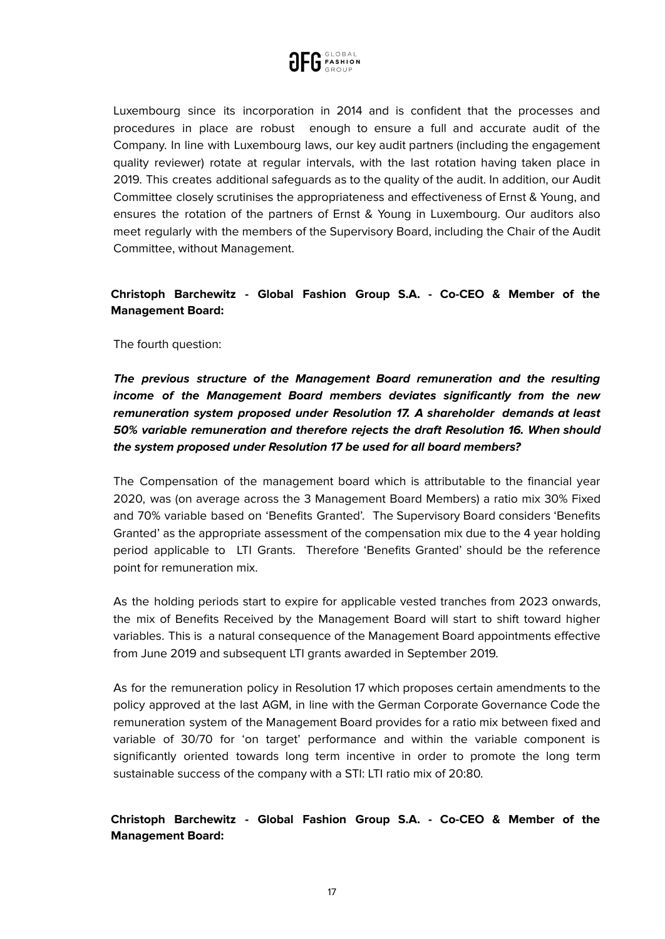

Luxembourg since its incorporation in 2014 and is confident that the processes and procedures in place are robust enough to ensure a full and accurate audit of the Company. In line with Luxembourg laws, our key audit partners (including the engagement quality reviewer) rotate at regular intervals, with the last rotation having taken place in 2019. This creates additional safeguards as to the quality of the audit. In addition, our Audit Committee closely scrutinises the appropriateness and effectiveness of Ernst & Young, and ensures the rotation of the partners of Ernst & Young in Luxembourg. Our auditors also meet regularly with the members of the Supervisory Board, including the Chair of the Audit Committee, without Management.

## **Christoph Barchewitz - Global Fashion Group S.A. - Co-CEO & Member of the Management Board:**

The fourth question:

**The previous structure of the Management Board remuneration and the resulting income of the Management Board members deviates significantly from the new remuneration system proposed under Resolution 17. A shareholder demands at least 50% variable remuneration and therefore rejects the draft Resolution 16. When should the system proposed under Resolution 17 be used for all board members?**

The Compensation of the management board which is attributable to the financial year 2020, was (on average across the 3 Management Board Members) a ratio mix 30% Fixed and 70% variable based on 'Benefits Granted'. The Supervisory Board considers 'Benefits Granted' as the appropriate assessment of the compensation mix due to the 4 year holding period applicable to LTI Grants. Therefore 'Benefits Granted' should be the reference point for remuneration mix.

As the holding periods start to expire for applicable vested tranches from 2023 onwards, the mix of Benefits Received by the Management Board will start to shift toward higher variables. This is a natural consequence of the Management Board appointments effective from June 2019 and subsequent LTI grants awarded in September 2019.

As for the remuneration policy in Resolution 17 which proposes certain amendments to the policy approved at the last AGM, in line with the German Corporate Governance Code the remuneration system of the Management Board provides for a ratio mix between fixed and variable of 30/70 for 'on target' performance and within the variable component is significantly oriented towards long term incentive in order to promote the long term sustainable success of the company with a STI: LTI ratio mix of 20:80.

**Christoph Barchewitz - Global Fashion Group S.A. - Co-CEO & Member of the Management Board:**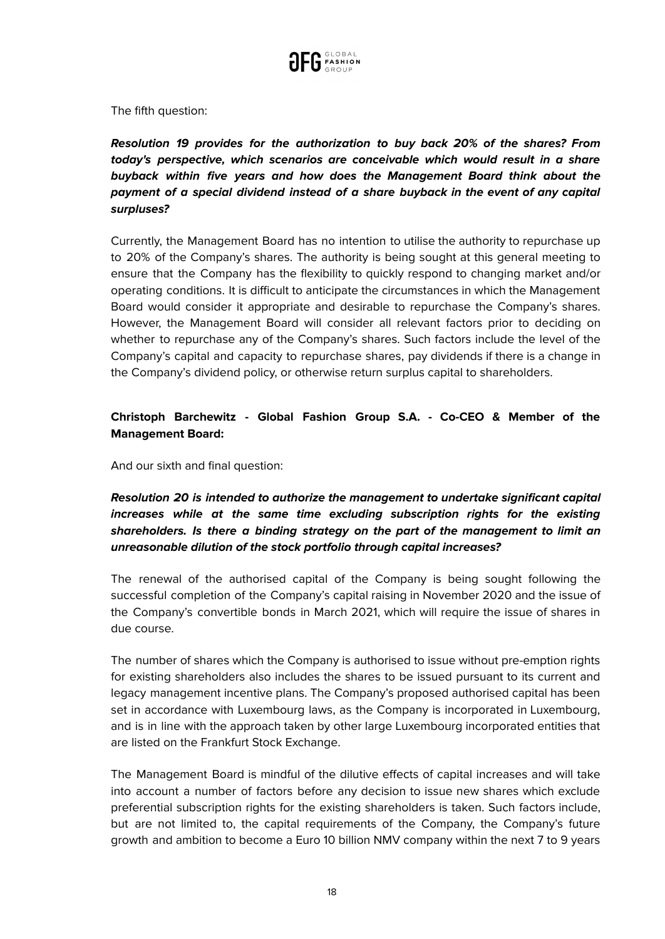

The fifth question:

**Resolution 19 provides for the authorization to buy back 20% of the shares? From today's perspective, which scenarios are conceivable which would result in a share buyback within five years and how does the Management Board think about the payment of a special dividend instead of a share buyback in the event of any capital surpluses?**

Currently, the Management Board has no intention to utilise the authority to repurchase up to 20% of the Company's shares. The authority is being sought at this general meeting to ensure that the Company has the flexibility to quickly respond to changing market and/or operating conditions. It is difficult to anticipate the circumstances in which the Management Board would consider it appropriate and desirable to repurchase the Company's shares. However, the Management Board will consider all relevant factors prior to deciding on whether to repurchase any of the Company's shares. Such factors include the level of the Company's capital and capacity to repurchase shares, pay dividends if there is a change in the Company's dividend policy, or otherwise return surplus capital to shareholders.

# **Christoph Barchewitz - Global Fashion Group S.A. - Co-CEO & Member of the Management Board:**

And our sixth and final question:

# **Resolution 20 is intended to authorize the management to undertake significant capital increases while at the same time excluding subscription rights for the existing shareholders. Is there a binding strategy on the part of the management to limit an unreasonable dilution of the stock portfolio through capital increases?**

The renewal of the authorised capital of the Company is being sought following the successful completion of the Company's capital raising in November 2020 and the issue of the Company's convertible bonds in March 2021, which will require the issue of shares in due course.

The number of shares which the Company is authorised to issue without pre-emption rights for existing shareholders also includes the shares to be issued pursuant to its current and legacy management incentive plans. The Company's proposed authorised capital has been set in accordance with Luxembourg laws, as the Company is incorporated in Luxembourg, and is in line with the approach taken by other large Luxembourg incorporated entities that are listed on the Frankfurt Stock Exchange.

The Management Board is mindful of the dilutive effects of capital increases and will take into account a number of factors before any decision to issue new shares which exclude preferential subscription rights for the existing shareholders is taken. Such factors include, but are not limited to, the capital requirements of the Company, the Company's future growth and ambition to become a Euro 10 billion NMV company within the next 7 to 9 years